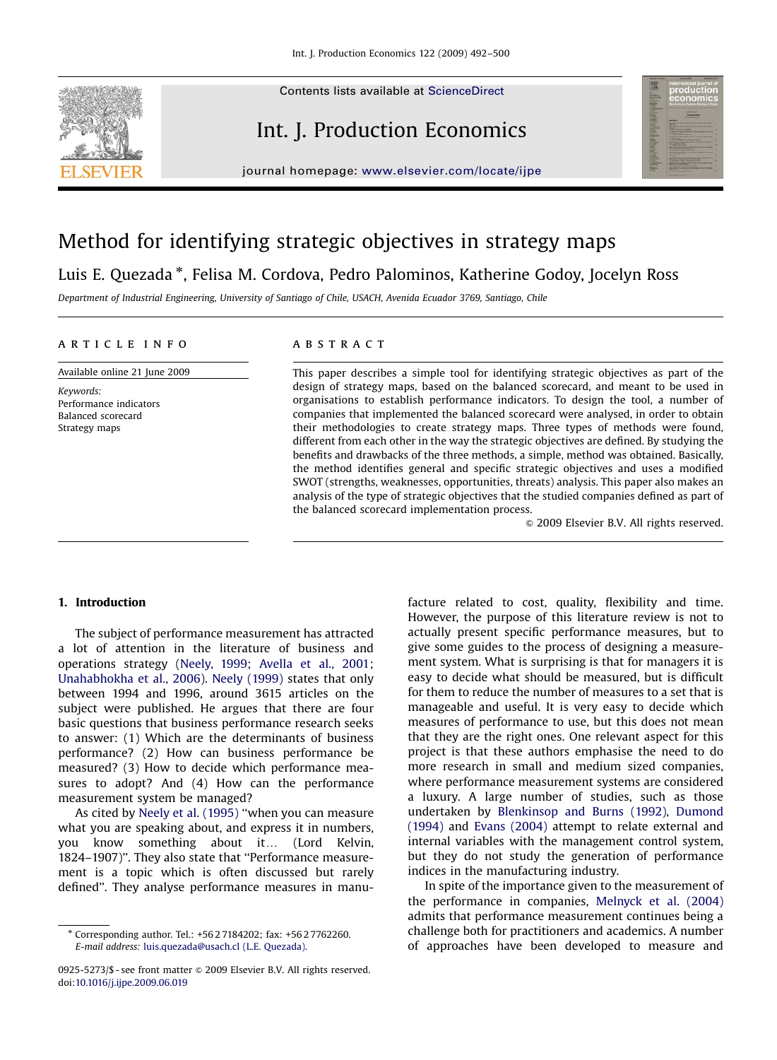Contents lists available at [ScienceDirect](www.sciencedirect.com/science/journal/proeco)

# Int. J. Production Economics

journal homepage: <www.elsevier.com/locate/ijpe>

# Method for identifying strategic objectives in strategy maps

Luis E. Quezada \*, Felisa M. Cordova, Pedro Palominos, Katherine Godoy, Jocelyn Ross

Department of Industrial Engineering, University of Santiago of Chile, USACH, Avenida Ecuador 3769, Santiago, Chile

## article info

Available online 21 June 2009

Keywords: Performance indicators Balanced scorecard Strategy maps

## **ABSTRACT**

This paper describes a simple tool for identifying strategic objectives as part of the design of strategy maps, based on the balanced scorecard, and meant to be used in organisations to establish performance indicators. To design the tool, a number of companies that implemented the balanced scorecard were analysed, in order to obtain their methodologies to create strategy maps. Three types of methods were found, different from each other in the way the strategic objectives are defined. By studying the benefits and drawbacks of the three methods, a simple, method was obtained. Basically, the method identifies general and specific strategic objectives and uses a modified SWOT (strengths, weaknesses, opportunities, threats) analysis. This paper also makes an analysis of the type of strategic objectives that the studied companies defined as part of the balanced scorecard implementation process.

 $\odot$  2009 Elsevier B.V. All rights reserved.

## 1. Introduction

The subject of performance measurement has attracted a lot of attention in the literature of business and operations strategy [\(Neely, 1999](#page-7-0); [Avella et al., 2001](#page-7-0); [Unahabhokha et al., 2006\)](#page-7-0). [Neely \(1999\)](#page-7-0) states that only between 1994 and 1996, around 3615 articles on the subject were published. He argues that there are four basic questions that business performance research seeks to answer: (1) Which are the determinants of business performance? (2) How can business performance be measured? (3) How to decide which performance measures to adopt? And (4) How can the performance measurement system be managed?

As cited by [Neely et al. \(1995\)](#page-7-0) ''when you can measure what you are speaking about, and express it in numbers, you know something about it... (Lord Kelvin, 1824–1907)''. They also state that ''Performance measurement is a topic which is often discussed but rarely defined''. They analyse performance measures in manu-

facture related to cost, quality, flexibility and time. However, the purpose of this literature review is not to actually present specific performance measures, but to give some guides to the process of designing a measurement system. What is surprising is that for managers it is easy to decide what should be measured, but is difficult for them to reduce the number of measures to a set that is manageable and useful. It is very easy to decide which measures of performance to use, but this does not mean that they are the right ones. One relevant aspect for this project is that these authors emphasise the need to do more research in small and medium sized companies, where performance measurement systems are considered a luxury. A large number of studies, such as those undertaken by [Blenkinsop and Burns \(1992\)](#page-7-0), [Dumond](#page-7-0) [\(1994\)](#page-7-0) and [Evans \(2004\)](#page-7-0) attempt to relate external and internal variables with the management control system, but they do not study the generation of performance indices in the manufacturing industry.

In spite of the importance given to the measurement of the performance in companies, [Melnyck et al. \(2004\)](#page-7-0) admits that performance measurement continues being a challenge both for practitioners and academics. A number of approaches have been developed to measure and





<sup>-</sup> Corresponding author. Tel.: +56 2 7184202; fax: +56 2 7762260. E-mail address: [luis.quezada@usach.cl \(L.E. Quezada\).](mailto:luis.quezada@usach.cl)

<sup>0925-5273/\$ -</sup> see front matter  $\circ$  2009 Elsevier B.V. All rights reserved. doi:[10.1016/j.ijpe.2009.06.019](dx.doi.org/10.1016/j.ijpe.2009.06.019)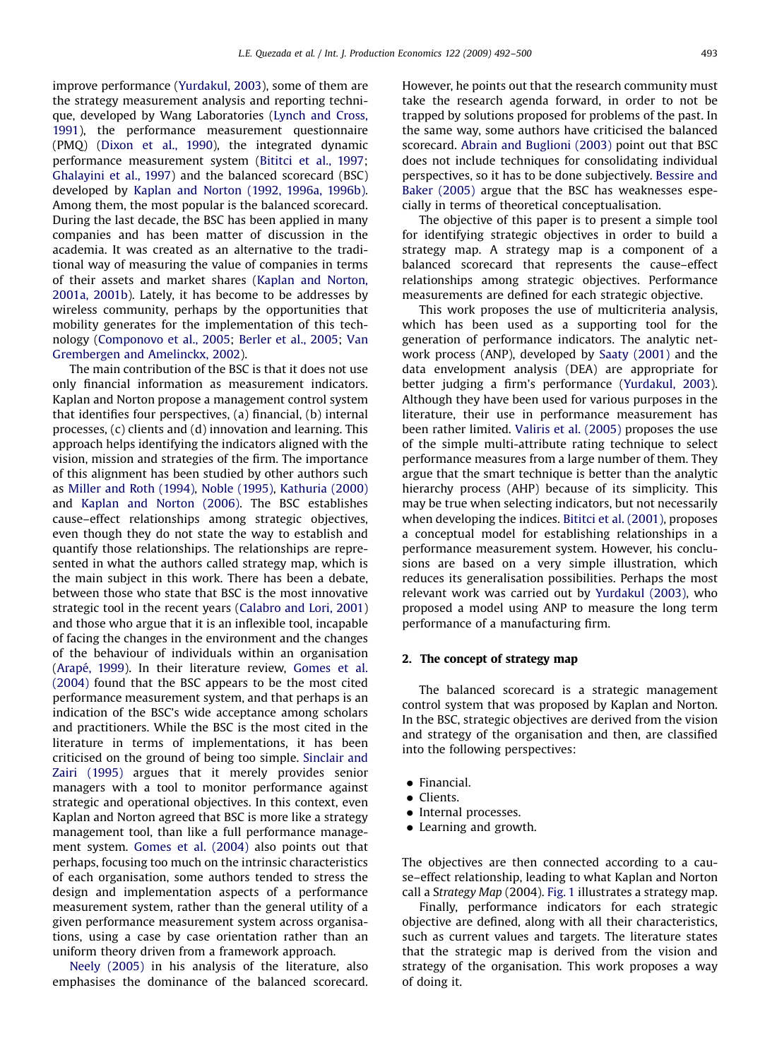improve performance [\(Yurdakul, 2003](#page-8-0)), some of them are the strategy measurement analysis and reporting technique, developed by Wang Laboratories ([Lynch and Cross,](#page-7-0) [1991](#page-7-0)), the performance measurement questionnaire (PMQ) ([Dixon et al., 1990](#page-7-0)), the integrated dynamic performance measurement system [\(Bititci et al., 1997](#page-7-0); [Ghalayini et al., 1997\)](#page-7-0) and the balanced scorecard (BSC) developed by [Kaplan and Norton \(1992, 1996a, 1996b\)](#page-7-0). Among them, the most popular is the balanced scorecard. During the last decade, the BSC has been applied in many companies and has been matter of discussion in the academia. It was created as an alternative to the traditional way of measuring the value of companies in terms of their assets and market shares [\(Kaplan and Norton,](#page-7-0) [2001a, 2001b\)](#page-7-0). Lately, it has become to be addresses by wireless community, perhaps by the opportunities that mobility generates for the implementation of this technology ([Componovo et al., 2005](#page-7-0); [Berler et al., 2005](#page-7-0); [Van](#page-8-0) [Grembergen and Amelinckx, 2002](#page-8-0)).

The main contribution of the BSC is that it does not use only financial information as measurement indicators. Kaplan and Norton propose a management control system that identifies four perspectives, (a) financial, (b) internal processes, (c) clients and (d) innovation and learning. This approach helps identifying the indicators aligned with the vision, mission and strategies of the firm. The importance of this alignment has been studied by other authors such as [Miller and Roth \(1994\)](#page-7-0), [Noble \(1995\),](#page-7-0) [Kathuria \(2000\)](#page-7-0) and [Kaplan and Norton \(2006\).](#page-7-0) The BSC establishes cause–effect relationships among strategic objectives, even though they do not state the way to establish and quantify those relationships. The relationships are represented in what the authors called strategy map, which is the main subject in this work. There has been a debate, between those who state that BSC is the most innovative strategic tool in the recent years ([Calabro and Lori, 2001\)](#page-7-0) and those who argue that it is an inflexible tool, incapable of facing the changes in the environment and the changes of the behaviour of individuals within an organisation (Arapé, 1999). In their literature review, [Gomes et al.](#page-7-0) [\(2004\)](#page-7-0) found that the BSC appears to be the most cited performance measurement system, and that perhaps is an indication of the BSC's wide acceptance among scholars and practitioners. While the BSC is the most cited in the literature in terms of implementations, it has been criticised on the ground of being too simple. [Sinclair and](#page-7-0) [Zairi \(1995\)](#page-7-0) argues that it merely provides senior managers with a tool to monitor performance against strategic and operational objectives. In this context, even Kaplan and Norton agreed that BSC is more like a strategy management tool, than like a full performance management system. [Gomes et al. \(2004\)](#page-7-0) also points out that perhaps, focusing too much on the intrinsic characteristics of each organisation, some authors tended to stress the design and implementation aspects of a performance measurement system, rather than the general utility of a given performance measurement system across organisations, using a case by case orientation rather than an uniform theory driven from a framework approach.

[Neely \(2005\)](#page-7-0) in his analysis of the literature, also emphasises the dominance of the balanced scorecard. However, he points out that the research community must take the research agenda forward, in order to not be trapped by solutions proposed for problems of the past. In the same way, some authors have criticised the balanced scorecard. [Abrain and Buglioni \(2003\)](#page-7-0) point out that BSC does not include techniques for consolidating individual perspectives, so it has to be done subjectively. [Bessire and](#page-7-0) [Baker \(2005\)](#page-7-0) argue that the BSC has weaknesses especially in terms of theoretical conceptualisation.

The objective of this paper is to present a simple tool for identifying strategic objectives in order to build a strategy map. A strategy map is a component of a balanced scorecard that represents the cause–effect relationships among strategic objectives. Performance measurements are defined for each strategic objective.

This work proposes the use of multicriteria analysis, which has been used as a supporting tool for the generation of performance indicators. The analytic network process (ANP), developed by [Saaty \(2001\)](#page-7-0) and the data envelopment analysis (DEA) are appropriate for better judging a firm's performance [\(Yurdakul, 2003](#page-8-0)). Although they have been used for various purposes in the literature, their use in performance measurement has been rather limited. [Valiris et al. \(2005\)](#page-8-0) proposes the use of the simple multi-attribute rating technique to select performance measures from a large number of them. They argue that the smart technique is better than the analytic hierarchy process (AHP) because of its simplicity. This may be true when selecting indicators, but not necessarily when developing the indices. [Bititci et al. \(2001\)](#page-7-0), proposes a conceptual model for establishing relationships in a performance measurement system. However, his conclusions are based on a very simple illustration, which reduces its generalisation possibilities. Perhaps the most relevant work was carried out by [Yurdakul \(2003\),](#page-8-0) who proposed a model using ANP to measure the long term performance of a manufacturing firm.

## 2. The concept of strategy map

The balanced scorecard is a strategic management control system that was proposed by Kaplan and Norton. In the BSC, strategic objectives are derived from the vision and strategy of the organisation and then, are classified into the following perspectives:

- Financial.
- Clients.
- Internal processes.
- Learning and growth.

The objectives are then connected according to a cause–effect relationship, leading to what Kaplan and Norton call a Strategy Map (2004). [Fig. 1](#page-2-0) illustrates a strategy map.

Finally, performance indicators for each strategic objective are defined, along with all their characteristics, such as current values and targets. The literature states that the strategic map is derived from the vision and strategy of the organisation. This work proposes a way of doing it.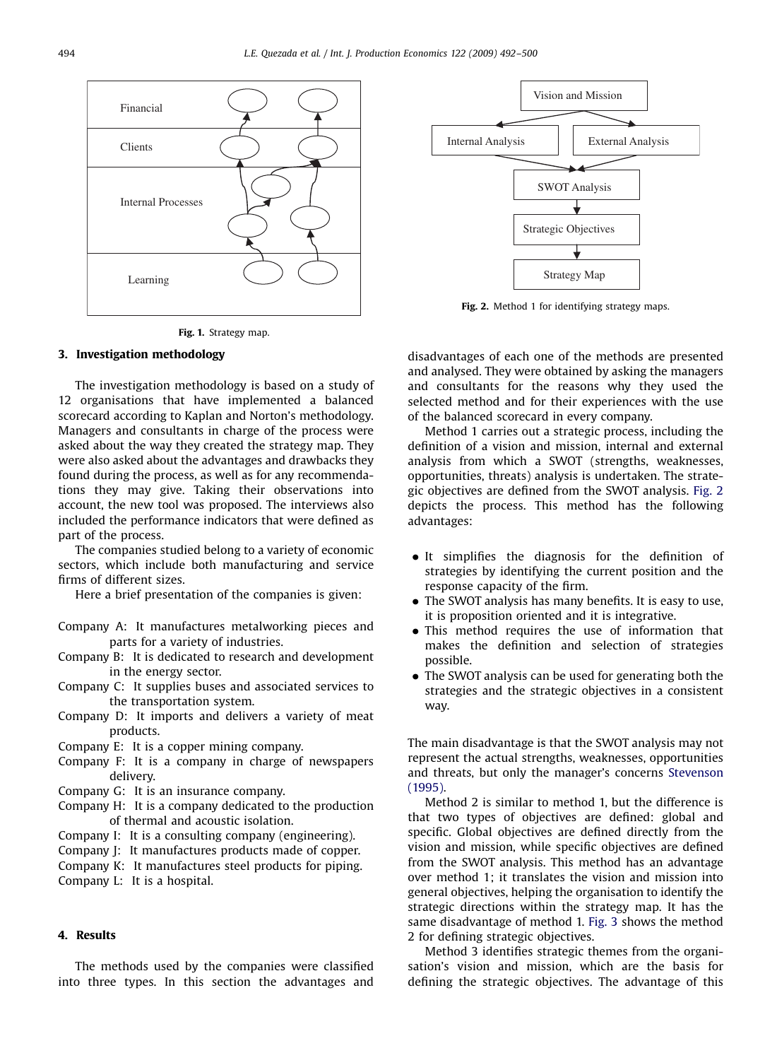<span id="page-2-0"></span>



## 3. Investigation methodology

The investigation methodology is based on a study of 12 organisations that have implemented a balanced scorecard according to Kaplan and Norton's methodology. Managers and consultants in charge of the process were asked about the way they created the strategy map. They were also asked about the advantages and drawbacks they found during the process, as well as for any recommendations they may give. Taking their observations into account, the new tool was proposed. The interviews also included the performance indicators that were defined as part of the process.

The companies studied belong to a variety of economic sectors, which include both manufacturing and service firms of different sizes.

Here a brief presentation of the companies is given:

- Company A: It manufactures metalworking pieces and parts for a variety of industries.
- Company B: It is dedicated to research and development in the energy sector.
- Company C: It supplies buses and associated services to the transportation system.
- Company D: It imports and delivers a variety of meat products.
- Company E: It is a copper mining company.
- Company F: It is a company in charge of newspapers delivery.
- Company G: It is an insurance company.
- Company H: It is a company dedicated to the production of thermal and acoustic isolation.
- Company I: It is a consulting company (engineering).
- Company J: It manufactures products made of copper.
- Company K: It manufactures steel products for piping.
- Company L: It is a hospital.

## 4. Results

The methods used by the companies were classified into three types. In this section the advantages and



Fig. 2. Method 1 for identifying strategy maps.

disadvantages of each one of the methods are presented and analysed. They were obtained by asking the managers and consultants for the reasons why they used the selected method and for their experiences with the use of the balanced scorecard in every company.

Method 1 carries out a strategic process, including the definition of a vision and mission, internal and external analysis from which a SWOT (strengths, weaknesses, opportunities, threats) analysis is undertaken. The strategic objectives are defined from the SWOT analysis. Fig. 2 depicts the process. This method has the following advantages:

- $\bullet$  It simplifies the diagnosis for the definition of strategies by identifying the current position and the response capacity of the firm.
- The SWOT analysis has many benefits. It is easy to use, it is proposition oriented and it is integrative.
- $\bullet$  This method requires the use of information that makes the definition and selection of strategies possible.
- The SWOT analysis can be used for generating both the strategies and the strategic objectives in a consistent way.

The main disadvantage is that the SWOT analysis may not represent the actual strengths, weaknesses, opportunities and threats, but only the manager's concerns [Stevenson](#page-7-0) [\(1995\).](#page-7-0)

Method 2 is similar to method 1, but the difference is that two types of objectives are defined: global and specific. Global objectives are defined directly from the vision and mission, while specific objectives are defined from the SWOT analysis. This method has an advantage over method 1; it translates the vision and mission into general objectives, helping the organisation to identify the strategic directions within the strategy map. It has the same disadvantage of method 1. [Fig. 3](#page-3-0) shows the method 2 for defining strategic objectives.

Method 3 identifies strategic themes from the organisation's vision and mission, which are the basis for defining the strategic objectives. The advantage of this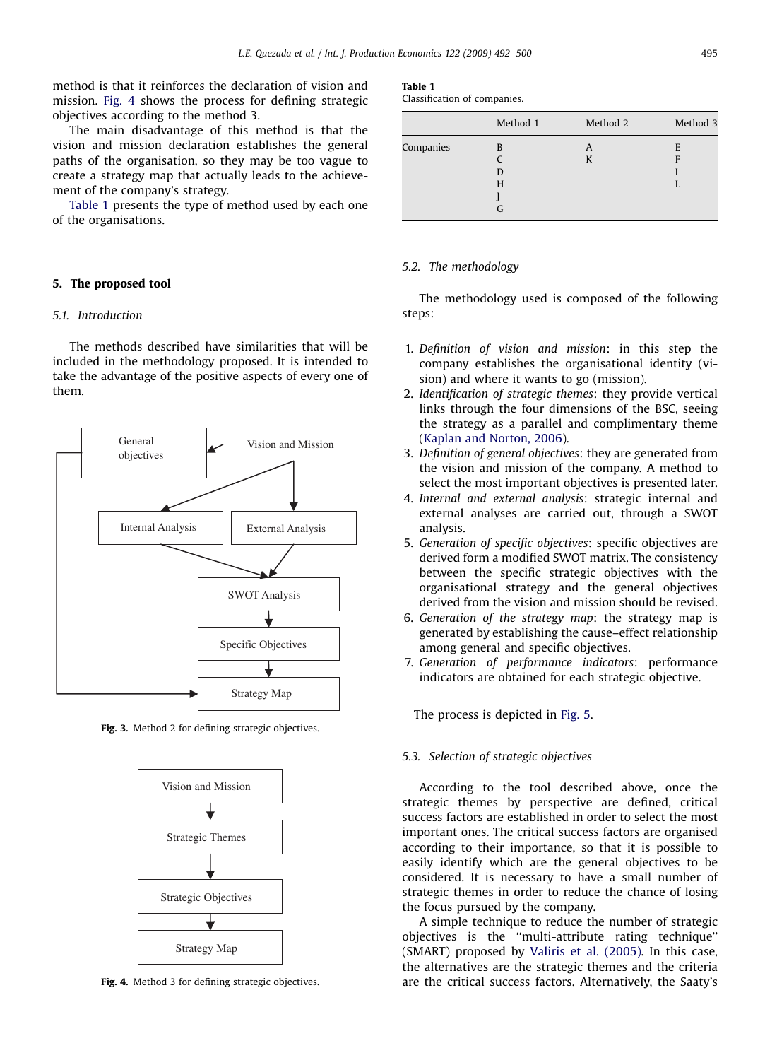<span id="page-3-0"></span>method is that it reinforces the declaration of vision and mission. Fig. 4 shows the process for defining strategic objectives according to the method 3.

The main disadvantage of this method is that the vision and mission declaration establishes the general paths of the organisation, so they may be too vague to create a strategy map that actually leads to the achievement of the company's strategy.

Table 1 presents the type of method used by each one of the organisations.

## 5. The proposed tool

## 5.1. Introduction

The methods described have similarities that will be included in the methodology proposed. It is intended to take the advantage of the positive aspects of every one of them.



Fig. 3. Method 2 for defining strategic objectives.



Fig. 4. Method 3 for defining strategic objectives.

# Table 1

Classification of companies.

|           | Method 1 | Method 2 | Method 3 |
|-----------|----------|----------|----------|
| Companies | B        | A        | E        |
|           | C        | K        | F        |
|           |          |          |          |
|           | H        |          |          |
|           |          |          |          |
|           | G        |          |          |
|           |          |          |          |

### 5.2. The methodology

The methodology used is composed of the following steps:

- 1. Definition of vision and mission: in this step the company establishes the organisational identity (vision) and where it wants to go (mission).
- 2. Identification of strategic themes: they provide vertical links through the four dimensions of the BSC, seeing the strategy as a parallel and complimentary theme [\(Kaplan and Norton, 2006](#page-7-0)).
- 3. Definition of general objectives: they are generated from the vision and mission of the company. A method to select the most important objectives is presented later.
- 4. Internal and external analysis: strategic internal and external analyses are carried out, through a SWOT analysis.
- 5. Generation of specific objectives: specific objectives are derived form a modified SWOT matrix. The consistency between the specific strategic objectives with the organisational strategy and the general objectives derived from the vision and mission should be revised.
- 6. Generation of the strategy map: the strategy map is generated by establishing the cause–effect relationship among general and specific objectives.
- 7. Generation of performance indicators: performance indicators are obtained for each strategic objective.

The process is depicted in [Fig. 5.](#page-4-0)

# 5.3. Selection of strategic objectives

According to the tool described above, once the strategic themes by perspective are defined, critical success factors are established in order to select the most important ones. The critical success factors are organised according to their importance, so that it is possible to easily identify which are the general objectives to be considered. It is necessary to have a small number of strategic themes in order to reduce the chance of losing the focus pursued by the company.

A simple technique to reduce the number of strategic objectives is the ''multi-attribute rating technique'' (SMART) proposed by [Valiris et al. \(2005\)](#page-8-0). In this case, the alternatives are the strategic themes and the criteria are the critical success factors. Alternatively, the Saaty's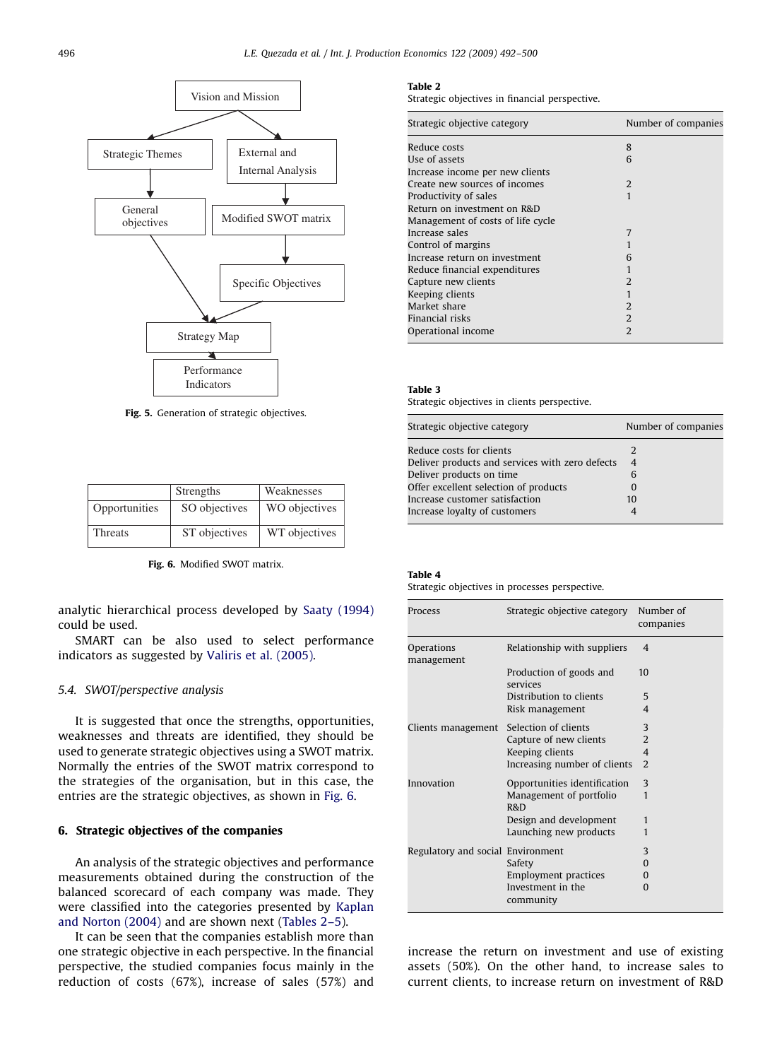<span id="page-4-0"></span>

Fig. 5. Generation of strategic objectives.

|                | Strengths     | Weaknesses    |
|----------------|---------------|---------------|
| Opportunities  | SO objectives | WO objectives |
| <b>Threats</b> | ST objectives | WT objectives |

Fig. 6. Modified SWOT matrix.

analytic hierarchical process developed by [Saaty \(1994\)](#page-7-0) could be used.

SMART can be also used to select performance indicators as suggested by [Valiris et al. \(2005\)](#page-8-0).

## 5.4. SWOT/perspective analysis

It is suggested that once the strengths, opportunities, weaknesses and threats are identified, they should be used to generate strategic objectives using a SWOT matrix. Normally the entries of the SWOT matrix correspond to the strategies of the organisation, but in this case, the entries are the strategic objectives, as shown in Fig. 6.

## 6. Strategic objectives of the companies

An analysis of the strategic objectives and performance measurements obtained during the construction of the balanced scorecard of each company was made. They were classified into the categories presented by [Kaplan](#page-7-0) [and Norton \(2004\)](#page-7-0) and are shown next (Tables 2–5).

It can be seen that the companies establish more than one strategic objective in each perspective. In the financial perspective, the studied companies focus mainly in the reduction of costs (67%), increase of sales (57%) and

#### Table 2

Strategic objectives in financial perspective.

| Strategic objective category      | Number of companies      |
|-----------------------------------|--------------------------|
| Reduce costs                      | 8                        |
| Use of assets                     | 6                        |
| Increase income per new clients   |                          |
| Create new sources of incomes     | 2                        |
| Productivity of sales             | 1                        |
| Return on investment on R&D       |                          |
| Management of costs of life cycle |                          |
| Increase sales                    | 7                        |
| Control of margins                |                          |
| Increase return on investment     | 6                        |
| Reduce financial expenditures     |                          |
| Capture new clients               | $\mathfrak{D}$           |
| Keeping clients                   | 1                        |
| Market share                      | $\overline{2}$           |
| Financial risks                   | $\overline{\mathcal{L}}$ |
| Operational income                | $\mathfrak{D}$           |
|                                   |                          |

#### Table 3

Strategic objectives in clients perspective.

| Strategic objective category                    | Number of companies |
|-------------------------------------------------|---------------------|
| Reduce costs for clients                        |                     |
| Deliver products and services with zero defects | $\overline{4}$      |
| Deliver products on time                        | 6                   |
| Offer excellent selection of products           |                     |
| Increase customer satisfaction                  | 10                  |
| Increase loyalty of customers                   |                     |

#### Table 4

Strategic objectives in processes perspective.

| <b>Process</b>                    | Strategic objective category        | Number of<br>companies   |
|-----------------------------------|-------------------------------------|--------------------------|
| Operations<br>management          | Relationship with suppliers         | $\overline{\mathcal{A}}$ |
|                                   | Production of goods and<br>services | 10                       |
|                                   | Distribution to clients             | 5                        |
|                                   | Risk management                     | $\overline{4}$           |
| Clients management                | Selection of clients                | 3                        |
|                                   | Capture of new clients              | $\overline{2}$           |
|                                   | Keeping clients                     | $\overline{\mathbf{4}}$  |
|                                   | Increasing number of clients        | $\overline{2}$           |
| Innovation                        | Opportunities identification        | 3                        |
|                                   | Management of portfolio<br>R&D      | $\mathbf{1}$             |
|                                   | Design and development              | 1                        |
|                                   | Launching new products              | 1                        |
| Regulatory and social Environment |                                     | 3                        |
|                                   | Safety                              | $\Omega$                 |
|                                   | <b>Employment practices</b>         | $\Omega$                 |
|                                   | Investment in the<br>community      | $\Omega$                 |

increase the return on investment and use of existing assets (50%). On the other hand, to increase sales to current clients, to increase return on investment of R&D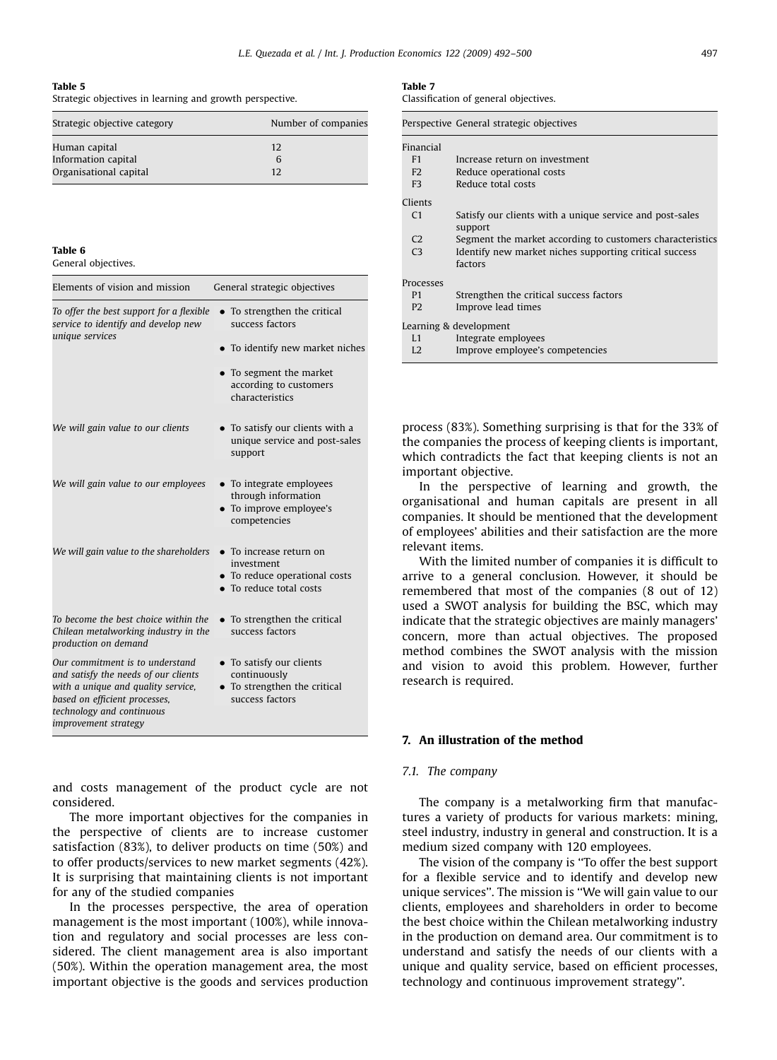## <span id="page-5-0"></span>Table 5

Strategic objectives in learning and growth perspective.

| Strategic objective category                                   | Number of companies |
|----------------------------------------------------------------|---------------------|
| Human capital<br>Information capital<br>Organisational capital | 12<br>12            |
|                                                                |                     |

#### Table 6

General objectives.

| Elements of vision and mission                                                                                                                                                                      | General strategic objectives                                                                    |  |  |
|-----------------------------------------------------------------------------------------------------------------------------------------------------------------------------------------------------|-------------------------------------------------------------------------------------------------|--|--|
| To offer the best support for a flexible<br>service to identify and develop new                                                                                                                     | • To strengthen the critical<br>success factors                                                 |  |  |
| unique services                                                                                                                                                                                     | To identify new market niches                                                                   |  |  |
|                                                                                                                                                                                                     | • To segment the market<br>according to customers<br>characteristics                            |  |  |
| We will gain value to our clients                                                                                                                                                                   | To satisfy our clients with a<br>unique service and post-sales<br>support                       |  |  |
| We will gain value to our employees                                                                                                                                                                 | • To integrate employees<br>through information<br>• To improve employee's<br>competencies      |  |  |
| We will gain value to the shareholders                                                                                                                                                              | To increase return on<br>investment<br>• To reduce operational costs<br>• To reduce total costs |  |  |
| To become the best choice within the<br>Chilean metalworking industry in the<br>production on demand                                                                                                | To strengthen the critical<br>success factors                                                   |  |  |
| Our commitment is to understand<br>and satisfy the needs of our clients<br>with a unique and quality service,<br>based on efficient processes,<br>technology and continuous<br>improvement strategy | • To satisfy our clients<br>continuously<br>• To strengthen the critical<br>success factors     |  |  |

and costs management of the product cycle are not considered.

The more important objectives for the companies in the perspective of clients are to increase customer satisfaction (83%), to deliver products on time (50%) and to offer products/services to new market segments (42%). It is surprising that maintaining clients is not important for any of the studied companies

In the processes perspective, the area of operation management is the most important (100%), while innovation and regulatory and social processes are less considered. The client management area is also important (50%). Within the operation management area, the most important objective is the goods and services production

# Table 7

Classification of general objectives.

Perspective General strategic objectives

| Financial      |                                                                     |
|----------------|---------------------------------------------------------------------|
| F1             | Increase return on investment                                       |
| F <sub>2</sub> | Reduce operational costs                                            |
| F <sub>3</sub> | Reduce total costs                                                  |
| Clients        |                                                                     |
| C <sub>1</sub> | Satisfy our clients with a unique service and post-sales<br>support |
| C <sub>2</sub> | Segment the market according to customers characteristics           |
| C <sub>3</sub> | Identify new market niches supporting critical success<br>factors   |
| Processes      |                                                                     |
| P <sub>1</sub> | Strengthen the critical success factors                             |
| <b>P2</b>      | Improve lead times                                                  |
|                | Learning & development                                              |
| L1             | Integrate employees                                                 |
| L <sub>2</sub> | Improve employee's competencies                                     |
|                |                                                                     |

process (83%). Something surprising is that for the 33% of the companies the process of keeping clients is important, which contradicts the fact that keeping clients is not an important objective.

In the perspective of learning and growth, the organisational and human capitals are present in all companies. It should be mentioned that the development of employees' abilities and their satisfaction are the more relevant items.

With the limited number of companies it is difficult to arrive to a general conclusion. However, it should be remembered that most of the companies (8 out of 12) used a SWOT analysis for building the BSC, which may indicate that the strategic objectives are mainly managers' concern, more than actual objectives. The proposed method combines the SWOT analysis with the mission and vision to avoid this problem. However, further research is required.

# 7. An illustration of the method

# 7.1. The company

The company is a metalworking firm that manufactures a variety of products for various markets: mining, steel industry, industry in general and construction. It is a medium sized company with 120 employees.

The vision of the company is ''To offer the best support for a flexible service and to identify and develop new unique services''. The mission is ''We will gain value to our clients, employees and shareholders in order to become the best choice within the Chilean metalworking industry in the production on demand area. Our commitment is to understand and satisfy the needs of our clients with a unique and quality service, based on efficient processes, technology and continuous improvement strategy''.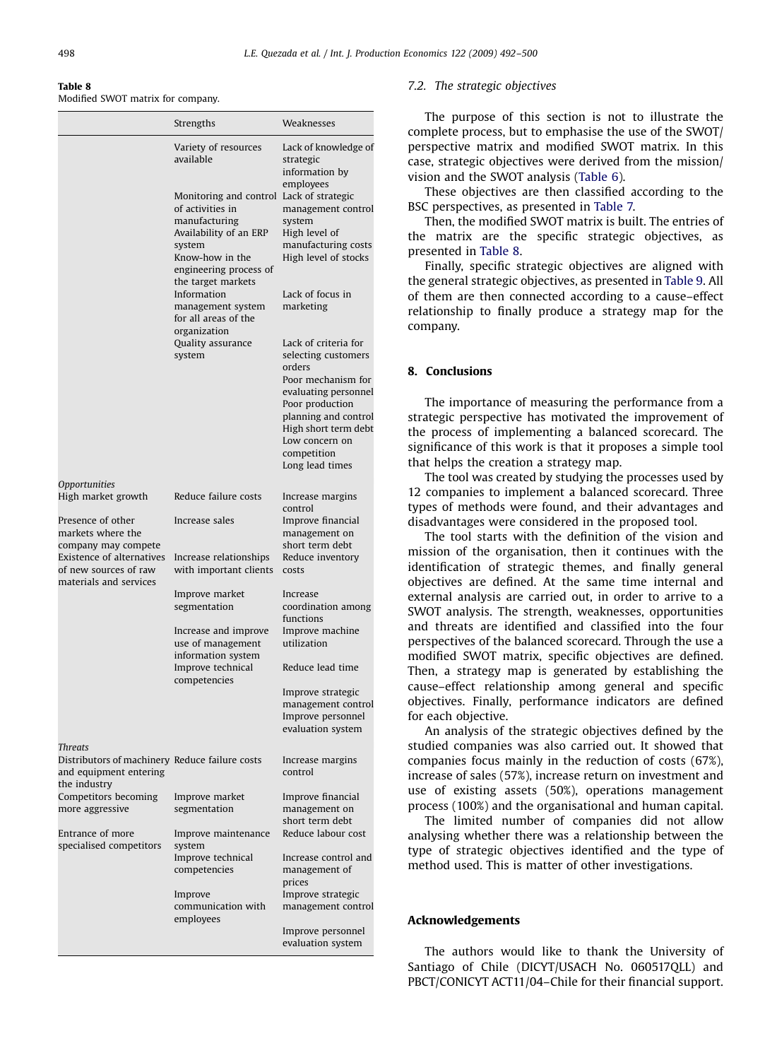| Table 8                           |  |  |
|-----------------------------------|--|--|
| Modified SWOT matrix for company. |  |  |

|                                                                                                                            | Strengths                                                                                                                                                                                                                 | Weaknesses                                                                                                                                                                                                                 |
|----------------------------------------------------------------------------------------------------------------------------|---------------------------------------------------------------------------------------------------------------------------------------------------------------------------------------------------------------------------|----------------------------------------------------------------------------------------------------------------------------------------------------------------------------------------------------------------------------|
|                                                                                                                            | Variety of resources<br>available<br>Monitoring and control Lack of strategic<br>of activities in<br>manufacturing<br>Availability of an ERP<br>system<br>Know-how in the<br>engineering process of<br>the target markets | Lack of knowledge of<br>strategic<br>information by<br>employees<br>management control<br>system<br>High level of<br>manufacturing costs<br>High level of stocks                                                           |
|                                                                                                                            | Information<br>management system<br>for all areas of the<br>organization                                                                                                                                                  | Lack of focus in<br>marketing                                                                                                                                                                                              |
|                                                                                                                            | Quality assurance<br>system                                                                                                                                                                                               | Lack of criteria for<br>selecting customers<br>orders<br>Poor mechanism for<br>evaluating personnel<br>Poor production<br>planning and control<br>High short term debt<br>Low concern on<br>competition<br>Long lead times |
| Opportunities<br>High market growth                                                                                        | Reduce failure costs                                                                                                                                                                                                      | Increase margins<br>control                                                                                                                                                                                                |
| Presence of other<br>markets where the<br>company may compete<br><b>Existence of alternatives</b><br>of new sources of raw | Increase sales<br>Increase relationships<br>with important clients                                                                                                                                                        | Improve financial<br>management on<br>short term debt<br>Reduce inventory<br>costs                                                                                                                                         |
| materials and services                                                                                                     | Improve market<br>segmentation<br>Increase and improve<br>use of management                                                                                                                                               | Increase<br>coordination among<br>functions<br>Improve machine<br>utilization                                                                                                                                              |
|                                                                                                                            | information system<br>Improve technical<br>competencies                                                                                                                                                                   | Reduce lead time                                                                                                                                                                                                           |
|                                                                                                                            |                                                                                                                                                                                                                           | Improve strategic<br>management control<br>Improve personnel<br>evaluation system                                                                                                                                          |
| Threats<br>Distributors of machinery Reduce failure costs<br>and equipment entering<br>the industry                        |                                                                                                                                                                                                                           | Increase margins<br>control                                                                                                                                                                                                |
| Competitors becoming<br>more aggressive                                                                                    | Improve market<br>segmentation                                                                                                                                                                                            | Improve financial<br>management on<br>short term debt<br>Reduce labour cost                                                                                                                                                |
| Entrance of more<br>specialised competitors                                                                                | Improve maintenance<br>system<br>Improve technical<br>competencies                                                                                                                                                        | Increase control and<br>management of                                                                                                                                                                                      |
|                                                                                                                            | Improve<br>communication with                                                                                                                                                                                             | prices<br>Improve strategic<br>management control                                                                                                                                                                          |
|                                                                                                                            | employees                                                                                                                                                                                                                 | Improve personnel<br>evaluation system                                                                                                                                                                                     |

### 7.2. The strategic objectives

The purpose of this section is not to illustrate the complete process, but to emphasise the use of the SWOT/ perspective matrix and modified SWOT matrix. In this case, strategic objectives were derived from the mission/ vision and the SWOT analysis ([Table 6](#page-5-0)).

These objectives are then classified according to the BSC perspectives, as presented in [Table 7.](#page-5-0)

Then, the modified SWOT matrix is built. The entries of the matrix are the specific strategic objectives, as presented in Table 8.

Finally, specific strategic objectives are aligned with the general strategic objectives, as presented in [Table 9.](#page-7-0) All of them are then connected according to a cause–effect relationship to finally produce a strategy map for the company.

## 8. Conclusions

The importance of measuring the performance from a strategic perspective has motivated the improvement of the process of implementing a balanced scorecard. The significance of this work is that it proposes a simple tool that helps the creation a strategy map.

The tool was created by studying the processes used by 12 companies to implement a balanced scorecard. Three types of methods were found, and their advantages and disadvantages were considered in the proposed tool.

The tool starts with the definition of the vision and mission of the organisation, then it continues with the identification of strategic themes, and finally general objectives are defined. At the same time internal and external analysis are carried out, in order to arrive to a SWOT analysis. The strength, weaknesses, opportunities and threats are identified and classified into the four perspectives of the balanced scorecard. Through the use a modified SWOT matrix, specific objectives are defined. Then, a strategy map is generated by establishing the cause–effect relationship among general and specific objectives. Finally, performance indicators are defined for each objective.

An analysis of the strategic objectives defined by the studied companies was also carried out. It showed that companies focus mainly in the reduction of costs (67%), increase of sales (57%), increase return on investment and use of existing assets (50%), operations management process (100%) and the organisational and human capital.

The limited number of companies did not allow analysing whether there was a relationship between the type of strategic objectives identified and the type of method used. This is matter of other investigations.

## Acknowledgements

The authors would like to thank the University of Santiago of Chile (DICYT/USACH No. 060517QLL) and PBCT/CONICYT ACT11/04–Chile for their financial support.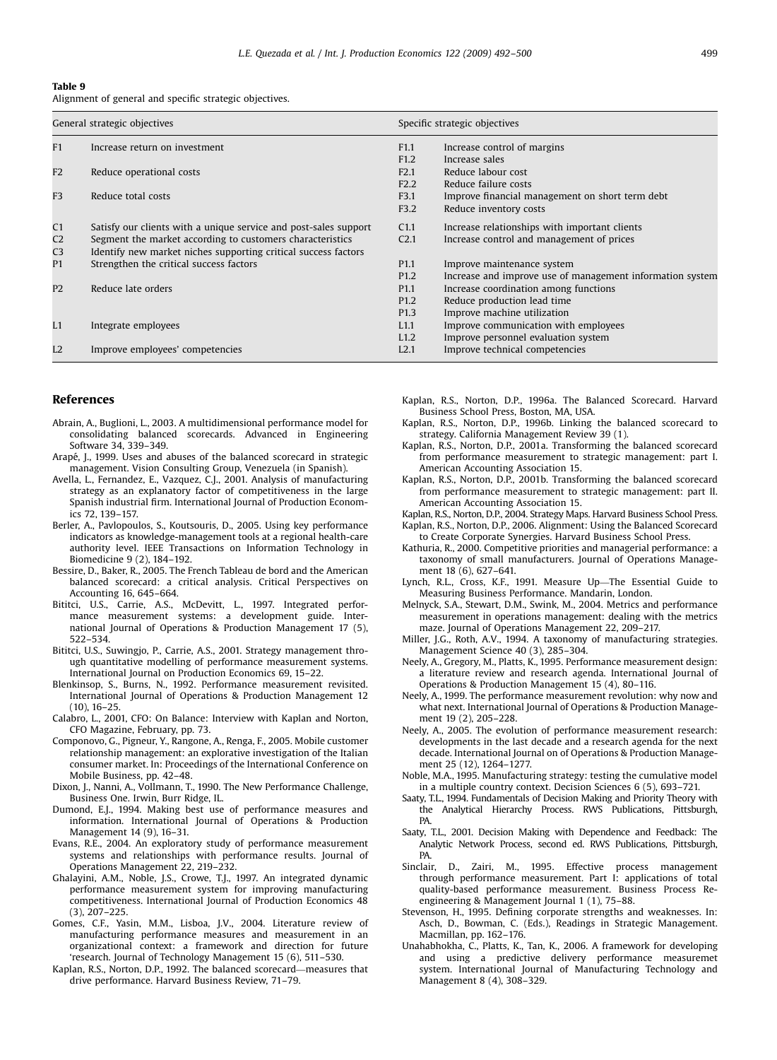#### <span id="page-7-0"></span>Table 9

Alignment of general and specific strategic objectives.

| General strategic objectives |                                                                  | Specific strategic objectives |                                                           |  |
|------------------------------|------------------------------------------------------------------|-------------------------------|-----------------------------------------------------------|--|
| F1                           | Increase return on investment                                    | F1.1                          | Increase control of margins                               |  |
|                              |                                                                  | F1.2                          | Increase sales                                            |  |
| F <sub>2</sub>               | Reduce operational costs                                         | F2.1                          | Reduce labour cost                                        |  |
|                              |                                                                  | F2.2                          | Reduce failure costs                                      |  |
| F <sub>3</sub>               | Reduce total costs                                               | F3.1                          | Improve financial management on short term debt           |  |
|                              |                                                                  | F3.2                          | Reduce inventory costs                                    |  |
| C <sub>1</sub>               | Satisfy our clients with a unique service and post-sales support | C1.1                          | Increase relationships with important clients             |  |
| C <sub>2</sub>               | Segment the market according to customers characteristics        | C <sub>2.1</sub>              | Increase control and management of prices                 |  |
| C <sub>3</sub>               | Identify new market niches supporting critical success factors   |                               |                                                           |  |
| P <sub>1</sub>               | Strengthen the critical success factors                          | P <sub>1.1</sub>              | Improve maintenance system                                |  |
|                              |                                                                  | P <sub>1.2</sub>              | Increase and improve use of management information system |  |
| P <sub>2</sub>               | Reduce late orders                                               | P <sub>1.1</sub>              | Increase coordination among functions                     |  |
|                              |                                                                  | P <sub>1.2</sub>              | Reduce production lead time                               |  |
|                              |                                                                  | P <sub>1.3</sub>              | Improve machine utilization                               |  |
| L1                           | Integrate employees                                              | L1.1                          | Improve communication with employees                      |  |
|                              |                                                                  | L1.2                          | Improve personnel evaluation system                       |  |
| L2                           | Improve employees' competencies                                  | L2.1                          | Improve technical competencies                            |  |

#### References

- Abrain, A., Buglioni, L., 2003. A multidimensional performance model for consolidating balanced scorecards. Advanced in Engineering Software 34, 339–349.
- Arapé, J., 1999. Uses and abuses of the balanced scorecard in strategic management. Vision Consulting Group, Venezuela (in Spanish).
- Avella, L., Fernandez, E., Vazquez, C.J., 2001. Analysis of manufacturing strategy as an explanatory factor of competitiveness in the large Spanish industrial firm. International Journal of Production Economics 72, 139–157.
- Berler, A., Pavlopoulos, S., Koutsouris, D., 2005. Using key performance indicators as knowledge-management tools at a regional health-care authority level. IEEE Transactions on Information Technology in Biomedicine 9 (2), 184–192.
- Bessire, D., Baker, R., 2005. The French Tableau de bord and the American balanced scorecard: a critical analysis. Critical Perspectives on Accounting 16, 645–664.
- Bititci, U.S., Carrie, A.S., McDevitt, L., 1997. Integrated performance measurement systems: a development guide. International Journal of Operations & Production Management 17 (5), 522–534.
- Bititci, U.S., Suwingjo, P., Carrie, A.S., 2001. Strategy management through quantitative modelling of performance measurement systems. International Journal on Production Economics 69, 15–22.
- Blenkinsop, S., Burns, N., 1992. Performance measurement revisited. International Journal of Operations & Production Management 12 (10), 16–25.
- Calabro, L., 2001, CFO: On Balance: Interview with Kaplan and Norton, CFO Magazine, February, pp. 73.
- Componovo, G., Pigneur, Y., Rangone, A., Renga, F., 2005. Mobile customer relationship management: an explorative investigation of the Italian consumer market. In: Proceedings of the International Conference on Mobile Business, pp. 42–48.
- Dixon, J., Nanni, A., Vollmann, T., 1990. The New Performance Challenge, Business One. Irwin, Burr Ridge, IL.
- Dumond, E.J., 1994. Making best use of performance measures and information. International Journal of Operations & Production Management 14 (9), 16–31.
- Evans, R.E., 2004. An exploratory study of performance measurement systems and relationships with performance results. Journal of Operations Management 22, 219–232.
- Ghalayini, A.M., Noble, J.S., Crowe, T.J., 1997. An integrated dynamic performance measurement system for improving manufacturing competitiveness. International Journal of Production Economics 48 (3), 207–225.
- Gomes, C.F., Yasin, M.M., Lisboa, J.V., 2004. Literature review of manufacturing performance measures and measurement in an organizational context: a framework and direction for future 'research. Journal of Technology Management 15 (6), 511–530.
- Kaplan, R.S., Norton, D.P., 1992. The balanced scorecard—measures that drive performance. Harvard Business Review, 71–79.
- Kaplan, R.S., Norton, D.P., 1996a. The Balanced Scorecard. Harvard Business School Press, Boston, MA, USA.
- Kaplan, R.S., Norton, D.P., 1996b. Linking the balanced scorecard to strategy. California Management Review 39 (1).
- Kaplan, R.S., Norton, D.P., 2001a. Transforming the balanced scorecard from performance measurement to strategic management: part I. American Accounting Association 15.
- Kaplan, R.S., Norton, D.P., 2001b. Transforming the balanced scorecard from performance measurement to strategic management: part II. American Accounting Association 15.
- Kaplan, R.S., Norton, D.P., 2004. Strategy Maps. Harvard Business School Press. Kaplan, R.S., Norton, D.P., 2006. Alignment: Using the Balanced Scorecard to Create Corporate Synergies. Harvard Business School Press.
- Kathuria, R., 2000. Competitive priorities and managerial performance: a taxonomy of small manufacturers. Journal of Operations Management 18 (6), 627–641.
- Lynch, R.L., Cross, K.F., 1991. Measure Up—The Essential Guide to Measuring Business Performance. Mandarin, London.
- Melnyck, S.A., Stewart, D.M., Swink, M., 2004. Metrics and performance measurement in operations management: dealing with the metrics maze. Journal of Operations Management 22, 209–217.
- Miller, J.G., Roth, A.V., 1994. A taxonomy of manufacturing strategies. Management Science 40 (3), 285–304.
- Neely, A., Gregory, M., Platts, K., 1995. Performance measurement design: a literature review and research agenda. International Journal of Operations & Production Management 15 (4), 80–116.
- Neely, A., 1999. The performance measurement revolution: why now and what next. International Journal of Operations & Production Management 19 (2), 205–228.
- Neely, A., 2005. The evolution of performance measurement research: developments in the last decade and a research agenda for the next decade. International Journal on of Operations & Production Management 25 (12), 1264–1277.
- Noble, M.A., 1995. Manufacturing strategy: testing the cumulative model in a multiple country context. Decision Sciences 6 (5), 693–721.
- Saaty, T.L., 1994. Fundamentals of Decision Making and Priority Theory with the Analytical Hierarchy Process. RWS Publications, Pittsburgh, PA.
- Saaty, T.L., 2001. Decision Making with Dependence and Feedback: The Analytic Network Process, second ed. RWS Publications, Pittsburgh, PA.
- Sinclair, D., Zairi, M., 1995. Effective process management through performance measurement. Part I: applications of total quality-based performance measurement. Business Process Reengineering & Management Journal 1 (1), 75–88.
- Stevenson, H., 1995. Defining corporate strengths and weaknesses. In: Asch, D., Bowman, C. (Eds.), Readings in Strategic Management. Macmillan, pp. 162–176.
- Unahabhokha, C., Platts, K., Tan, K., 2006. A framework for developing and using a predictive delivery performance measuremet system. International Journal of Manufacturing Technology and Management 8 (4), 308–329.